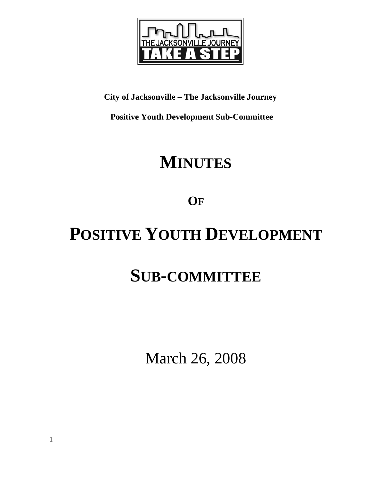

### **City of Jacksonville – The Jacksonville Journey**

 **Positive Youth Development Sub-Committee** 

# **MINUTES**

## **OF**

# **POSITIVE YOUTH DEVELOPMENT**

# **SUB-COMMITTEE**

March 26, 2008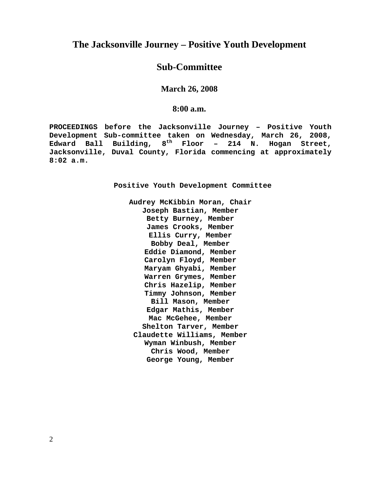### **The Jacksonville Journey – Positive Youth Development**

### **Sub-Committee**

**March 26, 2008** 

**8:00 a.m.**

**PROCEEDINGS before the Jacksonville Journey – Positive Youth Development Sub-committee taken on Wednesday, March 26, 2008, Edward Ball Building, 8th Floor – 214 N. Hogan Street, Jacksonville, Duval County, Florida commencing at approximately 8:02 a.m.** 

**Positive Youth Development Committee** 

**Audrey McKibbin Moran, Chair Joseph Bastian, Member Betty Burney, Member James Crooks, Member Ellis Curry, Member Bobby Deal, Member Eddie Diamond, Member Carolyn Floyd, Member Maryam Ghyabi, Member Warren Grymes, Member Chris Hazelip, Member Timmy Johnson, Member Bill Mason, Member Edgar Mathis, Member Mac McGehee, Member Shelton Tarver, Member Claudette Williams, Member Wyman Winbush, Member Chris Wood, Member George Young, Member**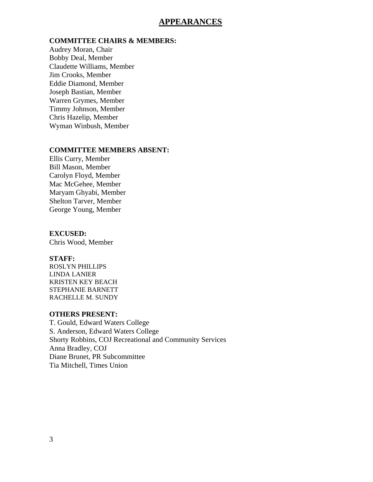#### **APPEARANCES**

#### **COMMITTEE CHAIRS & MEMBERS:**

Audrey Moran, Chair Bobby Deal, Member Claudette Williams, Member Jim Crooks, Member Eddie Diamond, Member Joseph Bastian, Member Warren Grymes, Member Timmy Johnson, Member Chris Hazelip, Member Wyman Winbush, Member

#### **COMMITTEE MEMBERS ABSENT:**

Ellis Curry, Member Bill Mason, Member Carolyn Floyd, Member Mac McGehee, Member Maryam Ghyabi, Member Shelton Tarver, Member George Young, Member

#### **EXCUSED:**

Chris Wood, Member

#### **STAFF:**

ROSLYN PHILLIPS LINDA LANIER KRISTEN KEY BEACH STEPHANIE BARNETT RACHELLE M. SUNDY

#### **OTHERS PRESENT:**

T. Gould, Edward Waters College S. Anderson, Edward Waters College Shorty Robbins, COJ Recreational and Community Services Anna Bradley, COJ Diane Brunet, PR Subcommittee Tia Mitchell, Times Union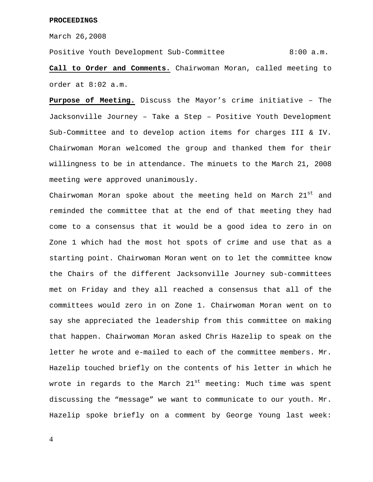March 26,2008

Positive Youth Development Sub-Committee 8:00 a.m. **Call to Order and Comments.** Chairwoman Moran, called meeting to order at 8:02 a.m.

**Purpose of Meeting.** Discuss the Mayor's crime initiative – The Jacksonville Journey – Take a Step – Positive Youth Development Sub-Committee and to develop action items for charges III & IV. Chairwoman Moran welcomed the group and thanked them for their willingness to be in attendance. The minuets to the March 21, 2008 meeting were approved unanimously.

Chairwoman Moran spoke about the meeting held on March  $21^{st}$  and reminded the committee that at the end of that meeting they had come to a consensus that it would be a good idea to zero in on Zone 1 which had the most hot spots of crime and use that as a starting point. Chairwoman Moran went on to let the committee know the Chairs of the different Jacksonville Journey sub-committees met on Friday and they all reached a consensus that all of the committees would zero in on Zone 1. Chairwoman Moran went on to say she appreciated the leadership from this committee on making that happen. Chairwoman Moran asked Chris Hazelip to speak on the letter he wrote and e-mailed to each of the committee members. Mr. Hazelip touched briefly on the contents of his letter in which he wrote in regards to the March  $21^{st}$  meeting: Much time was spent discussing the "message" we want to communicate to our youth. Mr. Hazelip spoke briefly on a comment by George Young last week: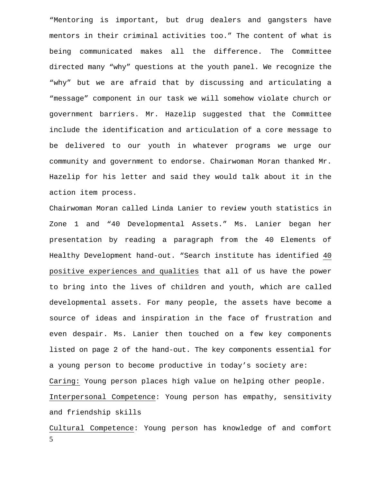"Mentoring is important, but drug dealers and gangsters have mentors in their criminal activities too." The content of what is being communicated makes all the difference. The Committee directed many "why" questions at the youth panel. We recognize the "why" but we are afraid that by discussing and articulating a "message" component in our task we will somehow violate church or government barriers. Mr. Hazelip suggested that the Committee include the identification and articulation of a core message to be delivered to our youth in whatever programs we urge our community and government to endorse. Chairwoman Moran thanked Mr. Hazelip for his letter and said they would talk about it in the action item process.

Chairwoman Moran called Linda Lanier to review youth statistics in Zone 1 and "40 Developmental Assets." Ms. Lanier began her presentation by reading a paragraph from the 40 Elements of Healthy Development hand-out. "Search institute has identified 40 positive experiences and qualities that all of us have the power to bring into the lives of children and youth, which are called developmental assets. For many people, the assets have become a source of ideas and inspiration in the face of frustration and even despair. Ms. Lanier then touched on a few key components listed on page 2 of the hand-out. The key components essential for a young person to become productive in today's society are: Caring: Young person places high value on helping other people. Interpersonal Competence: Young person has empathy, sensitivity and friendship skills

5 Cultural Competence: Young person has knowledge of and comfort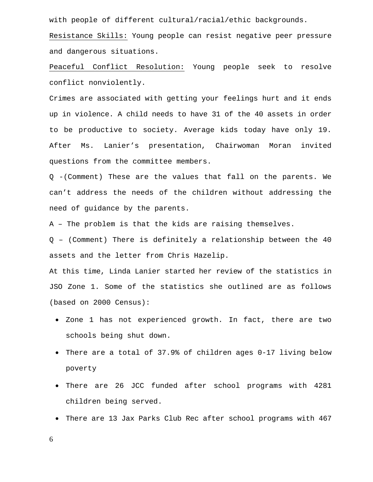with people of different cultural/racial/ethic backgrounds.

Resistance Skills: Young people can resist negative peer pressure and dangerous situations.

Peaceful Conflict Resolution: Young people seek to resolve conflict nonviolently.

Crimes are associated with getting your feelings hurt and it ends up in violence. A child needs to have 31 of the 40 assets in order to be productive to society. Average kids today have only 19. After Ms. Lanier's presentation, Chairwoman Moran invited questions from the committee members.

Q -(Comment) These are the values that fall on the parents. We can't address the needs of the children without addressing the need of guidance by the parents.

A – The problem is that the kids are raising themselves.

Q – (Comment) There is definitely a relationship between the 40 assets and the letter from Chris Hazelip.

At this time, Linda Lanier started her review of the statistics in JSO Zone 1. Some of the statistics she outlined are as follows (based on 2000 Census):

- Zone 1 has not experienced growth. In fact, there are two schools being shut down.
- There are a total of 37.9% of children ages 0-17 living below poverty
- There are 26 JCC funded after school programs with 4281 children being served.
- There are 13 Jax Parks Club Rec after school programs with 467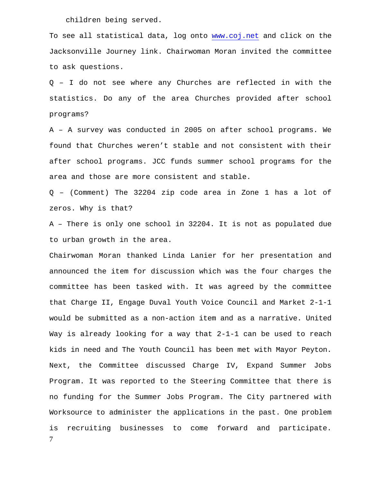children being served.

To see all statistical data, log onto www.coj.net and click on the Jacksonville Journey link. Chairwoman Moran invited the committee to ask questions.

Q – I do not see where any Churches are reflected in with the statistics. Do any of the area Churches provided after school programs?

A – A survey was conducted in 2005 on after school programs. We found that Churches weren't stable and not consistent with their after school programs. JCC funds summer school programs for the area and those are more consistent and stable.

Q – (Comment) The 32204 zip code area in Zone 1 has a lot of zeros. Why is that?

A – There is only one school in 32204. It is not as populated due to urban growth in the area.

7 Chairwoman Moran thanked Linda Lanier for her presentation and announced the item for discussion which was the four charges the committee has been tasked with. It was agreed by the committee that Charge II, Engage Duval Youth Voice Council and Market 2-1-1 would be submitted as a non-action item and as a narrative. United Way is already looking for a way that 2-1-1 can be used to reach kids in need and The Youth Council has been met with Mayor Peyton. Next, the Committee discussed Charge IV, Expand Summer Jobs Program. It was reported to the Steering Committee that there is no funding for the Summer Jobs Program. The City partnered with Worksource to administer the applications in the past. One problem is recruiting businesses to come forward and participate.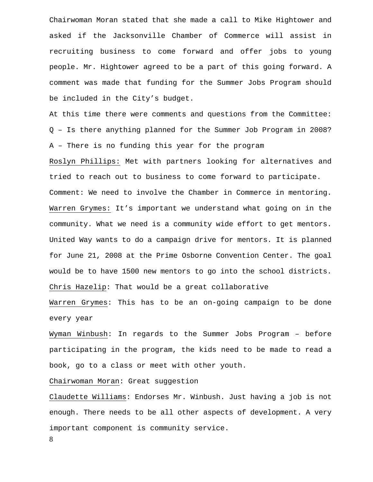Chairwoman Moran stated that she made a call to Mike Hightower and asked if the Jacksonville Chamber of Commerce will assist in recruiting business to come forward and offer jobs to young people. Mr. Hightower agreed to be a part of this going forward. A comment was made that funding for the Summer Jobs Program should be included in the City's budget.

At this time there were comments and questions from the Committee: Q – Is there anything planned for the Summer Job Program in 2008? A – There is no funding this year for the program

Roslyn Phillips: Met with partners looking for alternatives and tried to reach out to business to come forward to participate. Comment: We need to involve the Chamber in Commerce in mentoring. Warren Grymes: It's important we understand what going on in the community. What we need is a community wide effort to get mentors. United Way wants to do a campaign drive for mentors. It is planned for June 21, 2008 at the Prime Osborne Convention Center. The goal would be to have 1500 new mentors to go into the school districts. Chris Hazelip: That would be a great collaborative

Warren Grymes: This has to be an on-going campaign to be done every year

Wyman Winbush: In regards to the Summer Jobs Program – before participating in the program, the kids need to be made to read a book, go to a class or meet with other youth.

Chairwoman Moran: Great suggestion

Claudette Williams: Endorses Mr. Winbush. Just having a job is not enough. There needs to be all other aspects of development. A very important component is community service.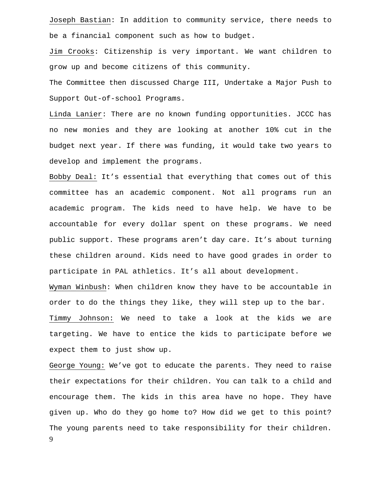Joseph Bastian: In addition to community service, there needs to be a financial component such as how to budget.

Jim Crooks: Citizenship is very important. We want children to grow up and become citizens of this community.

The Committee then discussed Charge III, Undertake a Major Push to Support Out-of-school Programs.

Linda Lanier: There are no known funding opportunities. JCCC has no new monies and they are looking at another 10% cut in the budget next year. If there was funding, it would take two years to develop and implement the programs.

Bobby Deal: It's essential that everything that comes out of this committee has an academic component. Not all programs run an academic program. The kids need to have help. We have to be accountable for every dollar spent on these programs. We need public support. These programs aren't day care. It's about turning these children around. Kids need to have good grades in order to participate in PAL athletics. It's all about development.

Wyman Winbush: When children know they have to be accountable in order to do the things they like, they will step up to the bar. Timmy Johnson: We need to take a look at the kids we are targeting. We have to entice the kids to participate before we expect them to just show up.

9 George Young: We've got to educate the parents. They need to raise their expectations for their children. You can talk to a child and encourage them. The kids in this area have no hope. They have given up. Who do they go home to? How did we get to this point? The young parents need to take responsibility for their children.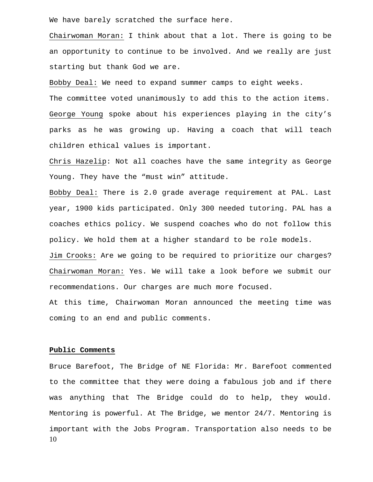We have barely scratched the surface here.

Chairwoman Moran: I think about that a lot. There is going to be an opportunity to continue to be involved. And we really are just starting but thank God we are.

Bobby Deal: We need to expand summer camps to eight weeks.

The committee voted unanimously to add this to the action items. George Young spoke about his experiences playing in the city's parks as he was growing up. Having a coach that will teach children ethical values is important.

Chris Hazelip: Not all coaches have the same integrity as George Young. They have the "must win" attitude.

Bobby Deal: There is 2.0 grade average requirement at PAL. Last year, 1900 kids participated. Only 300 needed tutoring. PAL has a coaches ethics policy. We suspend coaches who do not follow this policy. We hold them at a higher standard to be role models. Jim Crooks: Are we going to be required to prioritize our charges? Chairwoman Moran: Yes. We will take a look before we submit our recommendations. Our charges are much more focused.

At this time, Chairwoman Moran announced the meeting time was coming to an end and public comments.

#### **Public Comments**

10 Bruce Barefoot, The Bridge of NE Florida: Mr. Barefoot commented to the committee that they were doing a fabulous job and if there was anything that The Bridge could do to help, they would. Mentoring is powerful. At The Bridge, we mentor 24/7. Mentoring is important with the Jobs Program. Transportation also needs to be